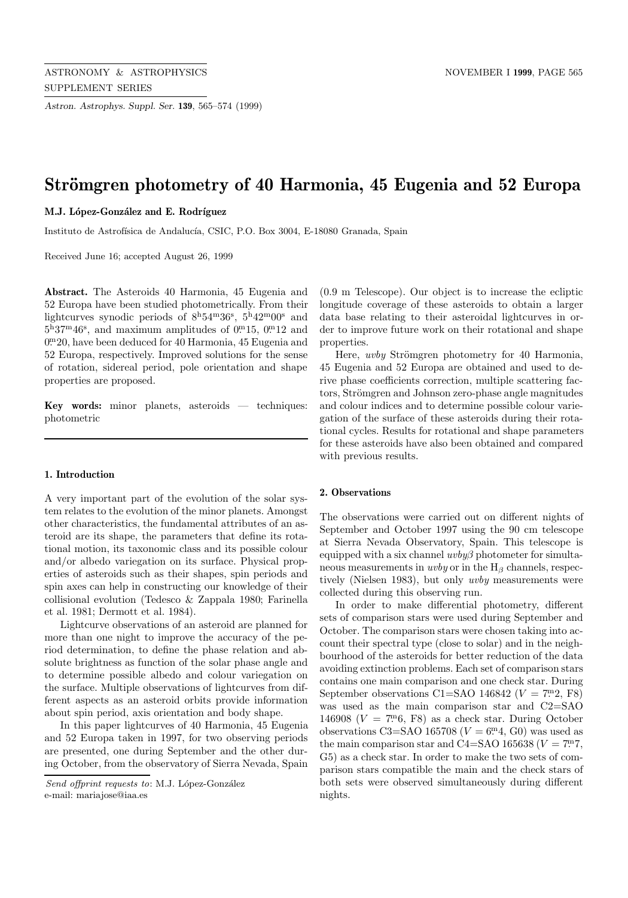*Astron. Astrophys. Suppl. Ser.* **139**, 565–574 (1999)

# **Strömgren photometry of 40 Harmonia, 45 Eugenia and 52 Europa**

M.J. López-González and E. Rodríguez

Instituto de Astrofísica de Andalucía, CSIC, P.O. Box 3004, E-18080 Granada, Spain

Received June 16; accepted August 26, 1999

**Abstract.** The Asteroids 40 Harmonia, 45 Eugenia and 52 Europa have been studied photometrically. From their lightcurves synodic periods of  $8^{\text{h}}54^{\text{m}}36^{\text{s}}$ ,  $5^{\text{h}}42^{\text{m}}00^{\text{s}}$  and  $5^{\rm h}37^{\rm m}46^{\rm s}$ , and maximum amplitudes of 0.  $^{\rm m}15$ , 0.  $^{\rm m}12$  and 0. <sup>m</sup>20, have been deduced for 40 Harmonia, 45 Eugenia and 52 Europa, respectively. Improved solutions for the sense of rotation, sidereal period, pole orientation and shape properties are proposed.

**Key words:** minor planets, asteroids — techniques: photometric

# **1. Introduction**

A very important part of the evolution of the solar system relates to the evolution of the minor planets. Amongst other characteristics, the fundamental attributes of an asteroid are its shape, the parameters that define its rotational motion, its taxonomic class and its possible colour and/or albedo variegation on its surface. Physical properties of asteroids such as their shapes, spin periods and spin axes can help in constructing our knowledge of their collisional evolution (Tedesco & Zappala 1980; Farinella et al. 1981; Dermott et al. 1984).

Lightcurve observations of an asteroid are planned for more than one night to improve the accuracy of the period determination, to define the phase relation and absolute brightness as function of the solar phase angle and to determine possible albedo and colour variegation on the surface. Multiple observations of lightcurves from different aspects as an asteroid orbits provide information about spin period, axis orientation and body shape.

In this paper lightcurves of 40 Harmonia, 45 Eugenia and 52 Europa taken in 1997, for two observing periods are presented, one during September and the other during October, from the observatory of Sierra Nevada, Spain

(0.9 m Telescope). Our object is to increase the ecliptic longitude coverage of these asteroids to obtain a larger data base relating to their asteroidal lightcurves in order to improve future work on their rotational and shape properties.

Here, *uvby* Strömgren photometry for 40 Harmonia, 45 Eugenia and 52 Europa are obtained and used to derive phase coefficients correction, multiple scattering factors, Strömgren and Johnson zero-phase angle magnitudes and colour indices and to determine possible colour variegation of the surface of these asteroids during their rotational cycles. Results for rotational and shape parameters for these asteroids have also been obtained and compared with previous results.

### **2. Observations**

The observations were carried out on different nights of September and October 1997 using the 90 cm telescope at Sierra Nevada Observatory, Spain. This telescope is equipped with a six channel  $uvby\beta$  photometer for simultaneous measurements in *uvby* or in the  $H_\beta$  channels, respectively (Nielsen 1983), but only uvby measurements were collected during this observing run.

In order to make differential photometry, different sets of comparison stars were used during September and October. The comparison stars were chosen taking into account their spectral type (close to solar) and in the neighbourhood of the asteroids for better reduction of the data avoiding extinction problems. Each set of comparison stars contains one main comparison and one check star. During September observations C1=SAO 146842 ( $V = 7.2$ , F8) was used as the main comparison star and C2=SAO 146908 ( $V = 7^{\text{m}}$ 6, F8) as a check star. During October observations C3=SAO 165708 ( $V = 6$ <sup>m</sup>4, G0) was used as the main comparison star and C4=SAO 165638 ( $V = 7.7$ . G5) as a check star. In order to make the two sets of comparison stars compatible the main and the check stars of both sets were observed simultaneously during different nights.

Send offprint requests to: M.J. López-González e-mail: mariajose@iaa.es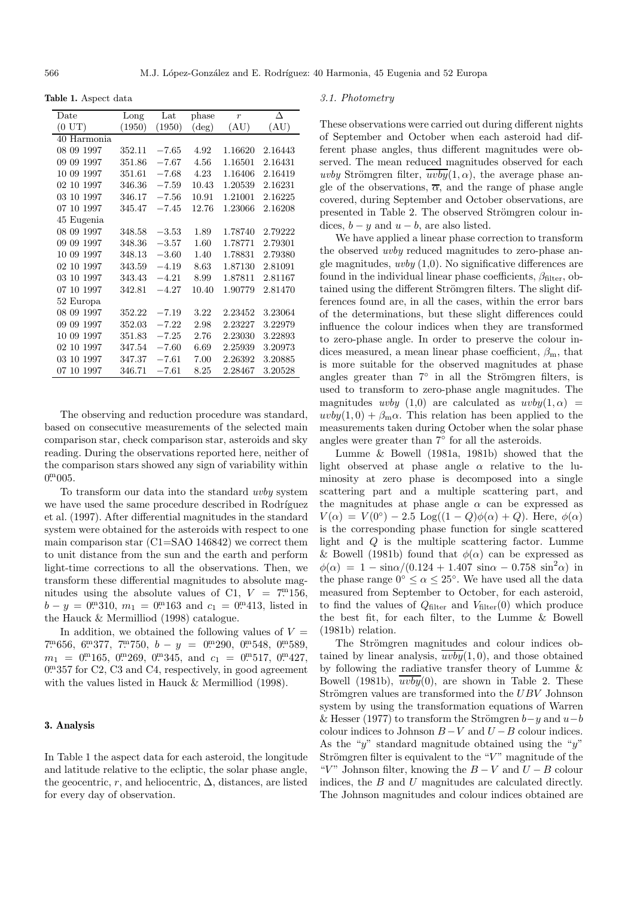**Table 1.** Aspect data

| Date        | Long   | Lat     | phase          | $\boldsymbol{r}$ | Л       |
|-------------|--------|---------|----------------|------------------|---------|
| (0 U T)     | (1950) | (1950)  | $(\text{deg})$ | (AU)             | (AU)    |
| 40 Harmonia |        |         |                |                  |         |
| 08 09 1997  | 352.11 | $-7.65$ | 4.92           | 1.16620          | 2.16443 |
| 09 09 1997  | 351.86 | $-7.67$ | 4.56           | 1.16501          | 2.16431 |
| 10 09 1997  | 351.61 | $-7.68$ | 4.23           | 1.16406          | 2.16419 |
| 02 10 1997  | 346.36 | $-7.59$ | 10.43          | 1.20539          | 2.16231 |
| 03 10 1997  | 346.17 | $-7.56$ | 10.91          | 1.21001          | 2.16225 |
| 07 10 1997  | 345.47 | $-7.45$ | 12.76          | 1.23066          | 2.16208 |
| 45 Eugenia  |        |         |                |                  |         |
| 08 09 1997  | 348.58 | $-3.53$ | 1.89           | 1.78740          | 2.79222 |
| 09 09 1997  | 348.36 | $-3.57$ | 1.60           | 1.78771          | 2.79301 |
| 10 09 1997  | 348.13 | $-3.60$ | 1.40           | 1.78831          | 2.79380 |
| 02 10 1997  | 343.59 | $-4.19$ | 8.63           | 1.87130          | 2.81091 |
| 03 10 1997  | 343.43 | $-4.21$ | 8.99           | 1.87811          | 2.81167 |
| 07 10 1997  | 342.81 | $-4.27$ | 10.40          | 1.90779          | 2.81470 |
| 52 Europa   |        |         |                |                  |         |
| 08 09 1997  | 352.22 | $-7.19$ | $3.22\,$       | 2.23452          | 3.23064 |
| 09 09 1997  | 352.03 | $-7.22$ | 2.98           | 2.23227          | 3.22979 |
| 10 09 1997  | 351.83 | $-7.25$ | 2.76           | 2.23030          | 3.22893 |
| 02 10 1997  | 347.54 | $-7.60$ | 6.69           | 2.25939          | 3.20973 |
| 03 10 1997  | 347.37 | $-7.61$ | 7.00           | 2.26392          | 3.20885 |
| 07 10 1997  | 346.71 | $-7.61$ | 8.25           | 2.28467          | 3.20528 |
|             |        |         |                |                  |         |

The observing and reduction procedure was standard, based on consecutive measurements of the selected main comparison star, check comparison star, asteroids and sky reading. During the observations reported here, neither of the comparison stars showed any sign of variability within  $0^{\mathrm{m}} 005$ .

To transform our data into the standard uvby system we have used the same procedure described in Rodríguez et al. (1997). After differential magnitudes in the standard system were obtained for the asteroids with respect to one main comparison star  $(C1=SAO 146842)$  we correct them to unit distance from the sun and the earth and perform light-time corrections to all the observations. Then, we transform these differential magnitudes to absolute magnitudes using the absolute values of C1,  $V = 7.156$ ,  $b - y = 0$ . 310,  $m_1 = 0$ . 163 and  $c_1 = 0$ . 413, listed in the Hauck & Mermilliod (1998) catalogue.

In addition, we obtained the following values of  $V =$  $7^{\rm m}656, 6^{\rm m}377, 7^{\rm m}750, b - y = 0^{\rm m}290, 0^{\rm m}548, 0^{\rm m}589,$  $m_1 = 0$ . m. 165, 0. m. 269, 0. m. 345, and  $c_1 = 0$ . m. 517, 0. m. 427, 0. 0. 357 for C2, C3 and C4, respectively, in good agreement with the values listed in Hauck & Mermilliod (1998).

# **3. Analysis**

In Table 1 the aspect data for each asteroid, the longitude and latitude relative to the ecliptic, the solar phase angle, the geocentric, r, and heliocentric,  $\Delta$ , distances, are listed for every day of observation.

#### 3.1. Photometry

These observations were carried out during different nights of September and October when each asteroid had different phase angles, thus different magnitudes were observed. The mean reduced magnitudes observed for each uvby Strömgren filter,  $\overline{uvby}(1,\alpha)$ , the average phase angle of the observations,  $\overline{\alpha}$ , and the range of phase angle covered, during September and October observations, are presented in Table 2. The observed Strömgren colour indices,  $b - y$  and  $u - b$ , are also listed.

We have applied a linear phase correction to transform the observed uvby reduced magnitudes to zero-phase angle magnitudes,  $uvby (1,0)$ . No significative differences are found in the individual linear phase coefficients,  $\beta_{\text{filter}}$ , obtained using the different Strömgren filters. The slight differences found are, in all the cases, within the error bars of the determinations, but these slight differences could influence the colour indices when they are transformed to zero-phase angle. In order to preserve the colour indices measured, a mean linear phase coefficient,  $\beta_{\rm m}$ , that is more suitable for the observed magnitudes at phase angles greater than  $7°$  in all the Strömgren filters, is used to transform to zero-phase angle magnitudes. The magnitudes uvby  $(1,0)$  are calculated as  $uvby(1,\alpha)$  =  $uvby(1,0) + \beta_{\text{m}}\alpha$ . This relation has been applied to the measurements taken during October when the solar phase angles were greater than 7◦ for all the asteroids.

Lumme & Bowell (1981a, 1981b) showed that the light observed at phase angle  $\alpha$  relative to the luminosity at zero phase is decomposed into a single scattering part and a multiple scattering part, and the magnitudes at phase angle  $\alpha$  can be expressed as  $V(\alpha) = V(0^{\circ}) - 2.5 \text{ Log}((1 - Q)\phi(\alpha) + Q)$ . Here,  $\phi(\alpha)$ is the corresponding phase function for single scattered light and Q is the multiple scattering factor. Lumme & Bowell (1981b) found that  $\phi(\alpha)$  can be expressed as  $\phi(\alpha) = 1 - \sin\alpha/(0.124 + 1.407 \sin\alpha - 0.758 \sin^2\alpha)$  in the phase range  $0^{\circ} \leq \alpha \leq 25^{\circ}$ . We have used all the data measured from September to October, for each asteroid, to find the values of  $Q_{\text{filter}}$  and  $V_{\text{filter}}(0)$  which produce the best fit, for each filter, to the Lumme & Bowell (1981b) relation.

The Strömgren magnitudes and colour indices obtained by linear analysis,  $uvby(1,0)$ , and those obtained by following the radiative transfer theory of Lumme & Bowell (1981b),  $uvby(0)$ , are shown in Table 2. These Strömgren values are transformed into the  $UBV$  Johnson system by using the transformation equations of Warren & Hesser (1977) to transform the Strömgren  $b-y$  and  $u-b$ colour indices to Johnson  $B-V$  and  $U-B$  colour indices. As the "y" standard magnitude obtained using the "y" Strömgren filter is equivalent to the " $V$ " magnitude of the "V" Johnson filter, knowing the  $B - V$  and  $U - B$  colour indices, the  $B$  and  $U$  magnitudes are calculated directly. The Johnson magnitudes and colour indices obtained are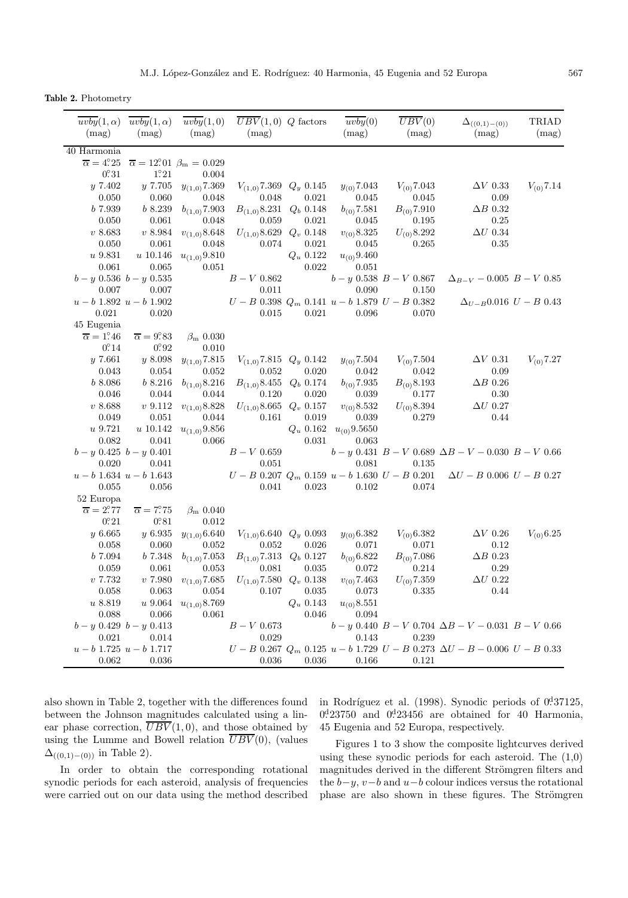**Table 2.** Photometry

| $\overline{uvby}(1,\alpha)$ $\overline{uvby}(1,\alpha)$<br>(mag) | (mag)                      | $\overline{uvby}(1,0)$<br>(mag)                            | $\overline{UBV}(1,0)$ Q factors<br>(mag)                  |             | $\overline{uvby}(0)$<br>(mag) | $\overline{UBV}(0)$<br>(mag)                          | $\Delta_{((0,1)-(0))}$<br>(mag)                                                           | TRIAD<br>(mag)                  |
|------------------------------------------------------------------|----------------------------|------------------------------------------------------------|-----------------------------------------------------------|-------------|-------------------------------|-------------------------------------------------------|-------------------------------------------------------------------------------------------|---------------------------------|
| $40$ Harmonia                                                    |                            |                                                            |                                                           |             |                               |                                                       |                                                                                           |                                 |
| $\overline{\alpha} = 4.25$                                       |                            | $\overline{\alpha} = 12^{\circ}01 \ \beta_{\rm m} = 0.029$ |                                                           |             |                               |                                                       |                                                                                           |                                 |
| $0^\circ 31$                                                     | $1^\circ 21$               | 0.004                                                      |                                                           |             |                               |                                                       |                                                                                           |                                 |
| y 7.402                                                          | y 7.705                    | $y_{(1,0)}$ 7.369                                          | $V_{(1,0)}$ 7.369 $Q_y$ 0.145                             |             | $y_{(0)}$ 7.043               | $V_{(0)}$ 7.043                                       | $\Delta V$ 0.33                                                                           | $V_{(0)}$ 7.14                  |
| 0.050                                                            | 0.060                      | 0.048                                                      | 0.048                                                     | 0.021       | 0.045                         | 0.045                                                 | 0.09                                                                                      |                                 |
| <i>b</i> 7.939                                                   | b8.239                     | $b_{(1,0)}$ 7.903                                          | $B_{(1,0)}8.231 \quad Q_b \quad 0.148$                    |             | $b_{(0)}$ 7.581               | $B_{(0)}$ 7.910                                       | $\Delta B$ 0.32                                                                           |                                 |
| 0.050                                                            | 0.061                      | 0.048                                                      | 0.059                                                     | 0.021       | 0.045                         | 0.195                                                 | 0.25                                                                                      |                                 |
| v 8.683                                                          | v 8.984                    | $v_{(1,0)}$ 8.648                                          | $U_{(1,0)}8.629$ $Q_v$ 0.148                              |             | $v_{(0)}8.325$                | $U_{(0)}8.292$                                        | $\Delta U$ 0.34                                                                           |                                 |
| 0.050                                                            | 0.061                      | 0.048                                                      | 0.074                                                     | 0.021       | 0.045                         | 0.265                                                 | 0.35                                                                                      |                                 |
| $u$ 9.831                                                        | $u\ 10.146$                | $u_{(1,0)}9.810$                                           |                                                           | $Q_u$ 0.122 | $u_{(0)}9.460$                |                                                       |                                                                                           |                                 |
| 0.061                                                            | 0.065                      | 0.051                                                      |                                                           | 0.022       | 0.051                         |                                                       |                                                                                           |                                 |
| $b - y$ 0.536 $b - y$ 0.535                                      |                            |                                                            | $B-V$ 0.862                                               |             |                               | $b - y$ 0.538 $B - V$ 0.867                           | $\Delta_{B-V}$ – 0.005 $B-V$ 0.85                                                         |                                 |
| 0.007                                                            | 0.007                      |                                                            | 0.011                                                     |             | 0.090                         | 0.150                                                 |                                                                                           |                                 |
| $u - b$ 1.892 $u - b$ 1.902                                      |                            |                                                            |                                                           |             |                               | $U - B$ 0.398 $Q_m$ 0.141 $u - b$ 1.879 $U - B$ 0.382 |                                                                                           | $\Delta_{U-B}$ 0.016 $U-B$ 0.43 |
| 0.021                                                            | 0.020                      |                                                            | 0.015                                                     | 0.021       | 0.096                         | 0.070                                                 |                                                                                           |                                 |
| 45 Eugenia                                                       |                            |                                                            |                                                           |             |                               |                                                       |                                                                                           |                                 |
| $\overline{\alpha} = 1.46$                                       | $\overline{\alpha} = 9.83$ | $\beta_{\rm m}$ 0.030                                      |                                                           |             |                               |                                                       |                                                                                           |                                 |
| $0^\circ 14$                                                     | 0.92                       | 0.010                                                      |                                                           |             |                               |                                                       |                                                                                           |                                 |
| y7.661                                                           | y8.098                     | $y_{(1,0)}$ 7.815                                          | $V_{(1,0)}$ 7.815 $Q_y$ 0.142                             |             | $y_{(0)}$ 7.504               | $V_{(0)}$ 7.504                                       | $\Delta V$ 0.31                                                                           | $V_{(0)}$ 7.27                  |
| 0.043                                                            | 0.054                      | 0.052                                                      | 0.052                                                     | 0.020       | 0.042                         | 0.042                                                 | 0.09                                                                                      |                                 |
| b 8.086                                                          | b 8.216                    | $b_{(1,0)}8.216$                                           | $B_{(1,0)}8.455$                                          | $Q_b 0.174$ | $b_{(0)}$ 7.935               | $B_{(0)}8.193$                                        | $\Delta B$ 0.26                                                                           |                                 |
| 0.046                                                            | 0.044                      | 0.044                                                      | 0.120                                                     | 0.020       | 0.039                         | 0.177                                                 | 0.30                                                                                      |                                 |
| v 8.688                                                          | $\upsilon$ 9.112           | $v_{(1,0)}$ 8.828                                          | $U_{(1,0)}8.665$                                          | $Q_v$ 0.157 | $v_{(0)}8.532$                | $U_{(0)}8.394$                                        | $\Delta U$ 0.27                                                                           |                                 |
| 0.049                                                            | 0.051                      | 0.044                                                      | 0.161                                                     | 0.019       | 0.039                         | 0.279                                                 | 0.44                                                                                      |                                 |
| $\boldsymbol{u}$ 9.721                                           | $\boldsymbol{u}$ 10.142    | $u_{(1,0)}9.856$                                           |                                                           | $Q_u$ 0.162 | $u_{(0)}9.5650$               |                                                       |                                                                                           |                                 |
| 0.082                                                            | 0.041                      | 0.066                                                      |                                                           | $\,0.031\,$ | 0.063                         |                                                       |                                                                                           |                                 |
| $b - y$ 0.425 $b - y$ 0.401                                      |                            |                                                            | $B-V\ 0.659$                                              |             |                               |                                                       | $b - y$ 0.431 $B - V$ 0.689 $\Delta B - V - 0.030$ $B - V$ 0.66                           |                                 |
| 0.020                                                            | 0.041                      |                                                            | 0.051                                                     |             | 0.081                         | 0.135                                                 |                                                                                           |                                 |
| $u - b$ 1.634 $u - b$ 1.643                                      |                            |                                                            |                                                           |             |                               | $U - B$ 0.207 $Q_m$ 0.159 $u - b$ 1.630 $U - B$ 0.201 | $\Delta U - B\,0.006\,U - B\,0.27$                                                        |                                 |
| 0.055                                                            | 0.056                      |                                                            | 0.041                                                     | 0.023       | 0.102                         | 0.074                                                 |                                                                                           |                                 |
| 52 Europa<br>$\overline{\alpha} = 2.77$                          | $\overline{\alpha} = 7.75$ | $\beta_{\rm m}$ 0.040                                      |                                                           |             |                               |                                                       |                                                                                           |                                 |
| $0^\circ 21$                                                     | $0^\circ 81$               | 0.012                                                      |                                                           |             |                               |                                                       |                                                                                           |                                 |
| $y\,6.665$                                                       | $y\,6.935$                 | $y_{(1,0)}$ 6.640                                          | $V_{(1,0)}$ 6.640 $Q_y$ 0.093                             |             | $y_{(0)}$ 6.382               | $V_{(0)}$ 6.382                                       | $\Delta V$ 0.26                                                                           | $V_{(0)}$ 6.25                  |
| 0.058                                                            | 0.060                      | 0.052                                                      | 0.052                                                     | 0.026       | 0.071                         | 0.071                                                 | 0.12                                                                                      |                                 |
| b 7.094                                                          | $\it{b}$ 7.348             | $b_{(1,0)}$ 7.053                                          | $B_{(1,0)}$ 7.313 $Q_b$ 0.127                             |             | $b_{(0)}$ 6.822               | $B_{(0)}$ 7.086                                       | $\Delta B$ 0.23                                                                           |                                 |
| 0.059                                                            | 0.061                      | 0.053                                                      | 0.081                                                     | 0.035       | 0.072                         | 0.214                                                 | 0.29                                                                                      |                                 |
| v 7.732                                                          |                            |                                                            | $v$ 7.980 $v_{(1,0)}$ 7.685 $U_{(1,0)}$ 7.580 $Q_v$ 0.138 |             | $v_{(0)}$ 7.463               | $U_{(0)}$ 7.359                                       | $\Delta U$ 0.22                                                                           |                                 |
| 0.058                                                            | 0.063                      | 0.054                                                      | 0.107                                                     | 0.035       | 0.073                         | 0.335                                                 | 0.44                                                                                      |                                 |
| $\boldsymbol{u}$ 8.819                                           | $u\,9.064$                 | $u_{(1,0)}8.769$                                           |                                                           | $Q_u$ 0.143 | $u_{(0)}8.551$                |                                                       |                                                                                           |                                 |
| 0.088                                                            | 0.066                      | 0.061                                                      |                                                           | 0.046       | 0.094                         |                                                       |                                                                                           |                                 |
| $b - y \; 0.429 \; b - y \; 0.413$                               |                            |                                                            | $B-V$ 0.673                                               |             |                               |                                                       | $b - y$ 0.440 $B - V$ 0.704 $\Delta B - V - 0.031$ $B - V$ 0.66                           |                                 |
| 0.021                                                            | 0.014                      |                                                            | 0.029                                                     |             | 0.143                         | 0.239                                                 |                                                                                           |                                 |
| $u - b$ 1.725 $u - b$ 1.717                                      |                            |                                                            |                                                           |             |                               |                                                       | $U - B$ 0.267 $Q_m$ 0.125 $u - b$ 1.729 $U - B$ 0.273 $\Delta U - B - 0.006$ $U - B$ 0.33 |                                 |
| 0.062                                                            | 0.036                      |                                                            | 0.036                                                     | 0.036       | 0.166                         | 0.121                                                 |                                                                                           |                                 |
|                                                                  |                            |                                                            |                                                           |             |                               |                                                       |                                                                                           |                                 |

also shown in Table 2, together with the differences found between the Johnson magnitudes calculated using a linear phase correction,  $\overline{UBV}(1,0)$ , and those obtained by using the Lumme and Bowell relation  $\overline{UBV}(0)$ , (values  $\Delta_{((0,1)-(0))}$  in Table 2).

In order to obtain the corresponding rotational synodic periods for each asteroid, analysis of frequencies were carried out on our data using the method described

in Rodríguez et al. (1998). Synodic periods of  $0.37125$ ,  $0.23750$  and  $0.23456$  are obtained for 40 Harmonia, 45 Eugenia and 52 Europa, respectively.

Figures 1 to 3 show the composite lightcurves derived using these synodic periods for each asteroid. The  $(1,0)$ magnitudes derived in the different Strömgren filters and the  $b-y$ ,  $v-b$  and  $u-b$  colour indices versus the rotational phase are also shown in these figures. The Strömgren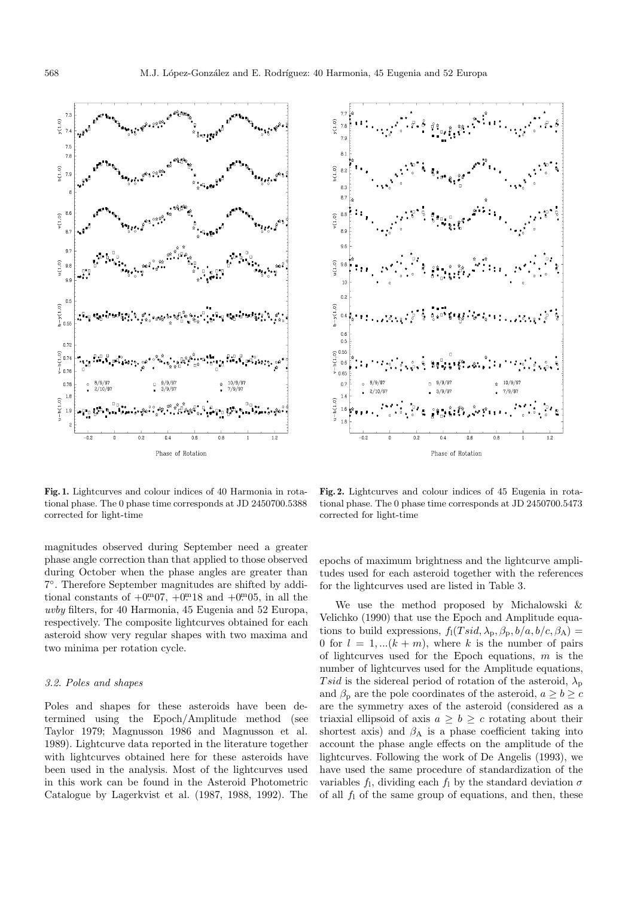



**Fig. 1.** Lightcurves and colour indices of 40 Harmonia in rotational phase. The 0 phase time corresponds at JD 2450700.5388 corrected for light-time

magnitudes observed during September need a greater phase angle correction than that applied to those observed during October when the phase angles are greater than 7◦. Therefore September magnitudes are shifted by additional constants of  $+0.007$ ,  $+0.0018$  and  $+0.0005$ , in all the uvby filters, for 40 Harmonia, 45 Eugenia and 52 Europa, respectively. The composite lightcurves obtained for each asteroid show very regular shapes with two maxima and two minima per rotation cycle.

#### 3.2. Poles and shapes

Poles and shapes for these asteroids have been determined using the Epoch/Amplitude method (see Taylor 1979; Magnusson 1986 and Magnusson et al. 1989). Lightcurve data reported in the literature together with lightcurves obtained here for these asteroids have been used in the analysis. Most of the lightcurves used in this work can be found in the Asteroid Photometric Catalogue by Lagerkvist et al. (1987, 1988, 1992). The

**Fig. 2.** Lightcurves and colour indices of 45 Eugenia in rotational phase. The 0 phase time corresponds at JD 2450700.5473 corrected for light-time

epochs of maximum brightness and the lightcurve amplitudes used for each asteroid together with the references for the lightcurves used are listed in Table 3.

We use the method proposed by Michalowski & Velichko (1990) that use the Epoch and Amplitude equations to build expressions,  $f_1(Tsid, \lambda_p, \beta_p, b/a, b/c, \beta_A) =$ 0 for  $l = 1, \ldots (k + m)$ , where k is the number of pairs of lightcurves used for the Epoch equations,  $m$  is the number of lightcurves used for the Amplitude equations, Tsid is the sidereal period of rotation of the asteroid,  $\lambda_{\rm p}$ and  $\beta_{\rm p}$  are the pole coordinates of the asteroid,  $a \geq b \geq c$ are the symmetry axes of the asteroid (considered as a triaxial ellipsoid of axis  $a \geq b \geq c$  rotating about their shortest axis) and  $\beta_A$  is a phase coefficient taking into account the phase angle effects on the amplitude of the lightcurves. Following the work of De Angelis (1993), we have used the same procedure of standardization of the variables  $f_1$ , dividing each  $f_1$  by the standard deviation  $\sigma$ of all  $f_1$  of the same group of equations, and then, these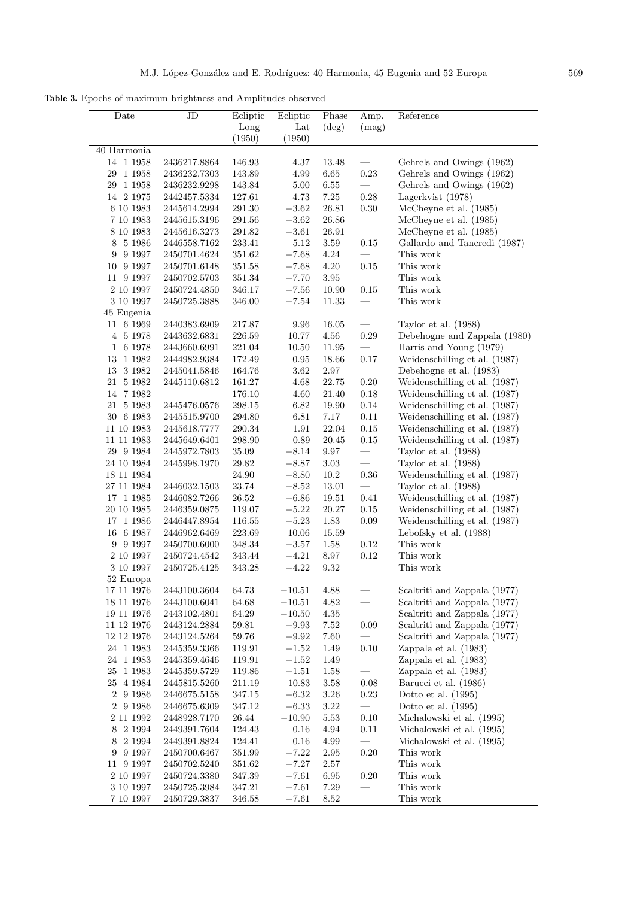**Table 3.** Epochs of maximum brightness and Amplitudes observed

| Ecliptic<br>Reference<br>JD<br>Ecliptic<br>Phase<br>Amp.<br>Date<br>Long<br>Lat<br>$(\text{deg})$<br>(mag)<br>(1950)<br>(1950)<br>40 Harmonia                                       |  |
|-------------------------------------------------------------------------------------------------------------------------------------------------------------------------------------|--|
|                                                                                                                                                                                     |  |
|                                                                                                                                                                                     |  |
|                                                                                                                                                                                     |  |
| 14 1 1 958<br>4.37<br>13.48<br>2436217.8864<br>146.93<br>$\overbrace{\qquad \qquad }^{ }$<br>Gehrels and Owings (1962)                                                              |  |
| 143.89<br>$0.23\,$<br>Gehrels and Owings (1962)<br>29 1 1 958<br>4.99<br>6.65<br>2436232.7303                                                                                       |  |
| Gehrels and Owings (1962)<br>29 1 1 958<br>2436232.9298<br>143.84<br>5.00<br>6.55                                                                                                   |  |
| $7.25\,$<br>14 2 1975<br>127.61<br>4.73<br>$0.28\,$<br>Lagerkvist (1978)<br>2442457.5334                                                                                            |  |
| 6 10 1983<br>291.30<br>$-3.62$<br>26.81<br>$0.30\,$<br>McCheyne et al. (1985)<br>2445614.2994                                                                                       |  |
| McCheyne et al. (1985)<br>7 10 1983<br>2445615.3196<br>291.56<br>$-3.62$<br>26.86                                                                                                   |  |
| McCheyne et al. (1985)<br>8 10 1983<br>2445616.3273<br>$291.82\,$<br>$-3.61$<br>$26.91\,$                                                                                           |  |
| Gallardo and Tancredi (1987)<br>5 1 9 8 6<br>233.41<br>5.12<br>3.59<br>0.15<br>8<br>2446558.7162                                                                                    |  |
| This work<br>9 1 9 9 7<br>351.62<br>$-7.68$<br>$4.24\,$<br>9<br>2450701.4624                                                                                                        |  |
| This work<br>10 9 1997<br>4.20<br>0.15<br>2450701.6148<br>351.58<br>$-7.68$                                                                                                         |  |
| 11 9 1997<br>2450702.5703<br>351.34<br>$-7.70$<br>3.95<br>This work                                                                                                                 |  |
| This work<br>2 10 1997<br>346.17<br>$-7.56$<br>10.90<br>0.15<br>2450724.4850                                                                                                        |  |
| This work<br>3 10 1997<br>346.00<br>$11.33\,$<br>2450725.3888<br>$-7.54$                                                                                                            |  |
| 45 Eugenia                                                                                                                                                                          |  |
| 11 6 1969<br>2440383.6909<br>16.05<br>217.87<br>9.96<br>Taylor et al. $(1988)$                                                                                                      |  |
| 0.29<br>Debehogne and Zappala (1980)<br>4 5 1 9 7 8<br>2443632.6831<br>226.59<br>10.77<br>4.56                                                                                      |  |
| Harris and Young (1979)<br>1 6 1978<br>221.04<br>2443660.6991<br>10.50<br>11.95                                                                                                     |  |
| 13 1 1 982<br>$0.17\,$<br>Weidenschilling et al. (1987)<br>2444982.9384<br>172.49<br>0.95<br>18.66                                                                                  |  |
| Debehogne et al. (1983)<br>13 3 1982<br>3.62<br>2.97<br>2445041.5846<br>164.76                                                                                                      |  |
| Weidenschilling et al. (1987)<br>21 5 1982<br>161.27<br>4.68<br>22.75<br>0.20<br>2445110.6812                                                                                       |  |
| Weidenschilling et al. (1987)<br>14 7 1982<br>176.10<br>21.40<br>4.60<br>0.18                                                                                                       |  |
| Weidenschilling et al. (1987)<br>21 5 1983<br>298.15<br>6.82<br>0.14<br>2445476.0576<br>19.90                                                                                       |  |
| 30 6 1983<br>2445515.9700<br>294.80<br>6.81<br>7.17<br>$0.11\,$<br>Weidenschilling et al. (1987)                                                                                    |  |
| Weidenschilling et al. (1987)<br>11 10 1983<br>1.91<br>22.04<br>0.15<br>2445618.7777<br>290.34                                                                                      |  |
| Weidenschilling et al. (1987)<br>11 11 1983<br>298.90<br>0.89<br>20.45<br>0.15<br>2445649.6401                                                                                      |  |
| Taylor et al. (1988)<br>29 9 1 9 8 4<br>2445972.7803<br>$35.09\,$<br>$-8.14$<br>$9.97\,$<br>24 10 1984<br>$3.03\,$<br>$\overline{\phantom{0}}$<br>Taylor et al. $(1988)$<br>$-8.87$ |  |
| 2445998.1970<br>29.82<br>Weidenschilling et al. (1987)<br>18 11 1984<br>24.90<br>10.2<br>0.36<br>$-8.80$                                                                            |  |
| Taylor et al. (1988)<br>27 11 1984<br>2446032.1503<br>23.74<br>$-8.52$<br>$13.01\,$                                                                                                 |  |
| Weidenschilling et al. (1987)<br>$17\ \ 1\ 1985$<br>$26.52\,$<br>$-6.86$<br>0.41<br>2446082.7266<br>19.51                                                                           |  |
| Weidenschilling et al. (1987)<br>$20\ 10\ 1985$<br>$-5.22$<br>$20.27\,$<br>0.15<br>2446359.0875<br>119.07                                                                           |  |
| 17 1 1 986<br>1.83<br>0.09<br>Weidenschilling et al. (1987)<br>2446447.8954<br>116.55<br>$-5.23$                                                                                    |  |
| Lebofsky et al. (1988)<br>6 1987<br>223.69<br>10.06<br>15.59<br>$\overline{\phantom{0}}$<br>16<br>2446962.6469                                                                      |  |
| This work<br>$9\ 9\ 1997$<br>348.34<br>$-3.57$<br>1.58<br>0.12<br>2450700.6000                                                                                                      |  |
| This work<br>2 10 1997<br>$-4.21$<br>$8.97\,$<br>2450724.4542<br>343.44<br>0.12                                                                                                     |  |
| This work<br>3 10 1997<br>2450725.4125<br>343.28<br>$-4.22$<br>$\,9.32$                                                                                                             |  |
| 52 Europa                                                                                                                                                                           |  |
| $17\ 11\ 1976$<br>4.88<br>Scaltriti and Zappala (1977)<br>2443100.3604<br>64.73<br>$-10.51$                                                                                         |  |
| $\overline{\phantom{0}}$<br>64.68<br>$-10.51$<br>4.82<br>Scaltriti and Zappala (1977)<br>18 11 1976<br>2443100.6041                                                                 |  |
| $\frac{1}{2}$<br>64.29<br>$4.35\,$<br>Scaltriti and Zappala (1977)<br>19 11 1976<br>2443102.4801<br>$-10.50$                                                                        |  |
| Scaltriti and Zappala (1977)<br>11 12 1976<br>59.81<br>$-9.93$<br>7.52<br>0.09<br>2443124.2884                                                                                      |  |
| Scaltriti and Zappala (1977)<br>$12\ 12\ 1976$<br>$59.76\,$<br>$-9.92$<br>7.60<br>2443124.5264                                                                                      |  |
| $24\quad1\;1983$<br>2445359.3366<br>119.91<br>$-1.52$<br>1.49<br>0.10<br>Zappala et al. (1983)                                                                                      |  |
| $24\quad1\;1983$<br>Zappala et al. (1983)<br>2445359.4646<br>119.91<br>$-1.52$<br>1.49                                                                                              |  |
| Zappala et al. (1983)<br>25 1 1 983<br>2445359.5729<br>119.86<br>$-1.51$<br>1.58                                                                                                    |  |
| $25\hphantom{1}4\hphantom{1}1984$<br>211.19<br>10.83<br>$3.58\,$<br>0.08<br>Barucci et al. (1986)<br>2445815.5260                                                                   |  |
| $2\ \ 9\ 1986$<br>347.15<br>$3.26\,$<br>$\rm 0.23$<br>Dotto et al. $(1995)$<br>2446675.5158<br>$-6.32$                                                                              |  |
| $2\ \ 9\ 1986$<br>$-6.33$<br>$3.22\,$<br>Dotto et al. $(1995)$<br>2446675.6309<br>347.12<br>$\overbrace{\qquad \qquad }^{}$                                                         |  |
| $2\ 11\ 1992$<br>$-10.90$<br>$5.53\,$<br>$0.10\,$<br>Michalowski et al. (1995)<br>2448928.7170<br>26.44                                                                             |  |
| Michalowski et al. (1995)<br>8 2 1 9 9 4<br>2449391.7604<br>124.43<br>0.16<br>4.94<br>0.11                                                                                          |  |
| $2\ 1994$<br>124.41<br>4.99<br>Michalowski et al. (1995)<br>8<br>2449391.8824<br>0.16                                                                                               |  |
| 9 1997<br>$351.99\,$<br>$-7.22$<br>$2.95\,$<br>$0.20\,$<br>This work<br>2450700.6467<br>9                                                                                           |  |
| This work<br>$11\ \ 9\ 1997$<br>$2.57\,$<br>351.62<br>$-7.27$<br>2450702.5240                                                                                                       |  |
| This work<br>$2\ 10\ 1997$<br>$6.95\,$<br>0.20<br>2450724.3380<br>347.39<br>$-7.61$                                                                                                 |  |
| $7.29\,$<br>This work<br>$3\ 10\ 1997$<br>2450725.3984<br>$347.21\,$<br>$-7.61$                                                                                                     |  |
| This work<br>7 10 1997<br>2450729.3837<br>346.58<br>$-7.61$<br>8.52                                                                                                                 |  |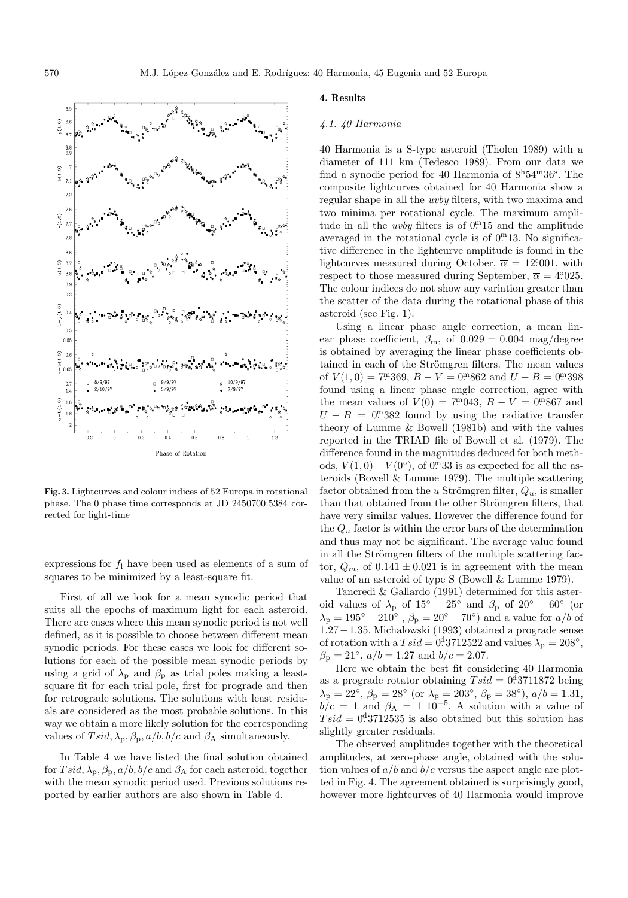

**Fig. 3.** Lightcurves and colour indices of 52 Europa in rotational phase. The 0 phase time corresponds at JD 2450700.5384 corrected for light-time

expressions for  $f_1$  have been used as elements of a sum of squares to be minimized by a least-square fit.

First of all we look for a mean synodic period that suits all the epochs of maximum light for each asteroid. There are cases where this mean synodic period is not well defined, as it is possible to choose between different mean synodic periods. For these cases we look for different solutions for each of the possible mean synodic periods by using a grid of  $\lambda_p$  and  $\beta_p$  as trial poles making a leastsquare fit for each trial pole, first for prograde and then for retrograde solutions. The solutions with least residuals are considered as the most probable solutions. In this way we obtain a more likely solution for the corresponding values of  $T \, \text{sid}, \lambda_p, \beta_p, \frac{a}{b}, \frac{b}{c}$  and  $\beta_A$  simultaneously.

In Table 4 we have listed the final solution obtained for  $T \, sid$ ,  $\lambda_p$ ,  $\beta_p$ ,  $a/b$ ,  $b/c$  and  $\beta_A$  for each asteroid, together with the mean synodic period used. Previous solutions reported by earlier authors are also shown in Table 4.

#### **4. Results**

#### 4.1. 40 Harmonia

40 Harmonia is a S-type asteroid (Tholen 1989) with a diameter of 111 km (Tedesco 1989). From our data we find a synodic period for 40 Harmonia of  $8^{\text{h}}54^{\text{m}}36^{\text{s}}$ . The composite lightcurves obtained for 40 Harmonia show a regular shape in all the uvby filters, with two maxima and two minima per rotational cycle. The maximum amplitude in all the *uvby* filters is of  $0<sup>m</sup>15$  and the amplitude averaged in the rotational cycle is of  $0<sup>m</sup>13$ . No significative difference in the lightcurve amplitude is found in the lightcurves measured during October,  $\bar{\alpha} = 12,001$ , with respect to those measured during September,  $\overline{\alpha} = 4.4025$ . The colour indices do not show any variation greater than the scatter of the data during the rotational phase of this asteroid (see Fig. 1).

Using a linear phase angle correction, a mean linear phase coefficient,  $\beta_{\rm m}$ , of  $0.029 \pm 0.004$  mag/degree is obtained by averaging the linear phase coefficients obtained in each of the Strömgren filters. The mean values of  $V(1,0) = 7^{\text{m}}369$ ,  $B - V = 0^{\text{m}}862$  and  $U - B = 0^{\text{m}}398$ found using a linear phase angle correction, agree with the mean values of  $V(0) = 7 \cdot 0.043$ ,  $B - V = 0.0867$  and  $U - B = 0$ . 382 found by using the radiative transfer theory of Lumme & Bowell (1981b) and with the values reported in the TRIAD file of Bowell et al. (1979). The difference found in the magnitudes deduced for both methods,  $V(1,0) - V(0^{\circ})$ , of  $0^{\circ}$  33 is as expected for all the asteroids (Bowell & Lumme 1979). The multiple scattering factor obtained from the u Strömgren filter,  $Q_u$ , is smaller than that obtained from the other Strömgren filters, that have very similar values. However the difference found for the  $Q_u$  factor is within the error bars of the determination and thus may not be significant. The average value found in all the Strömgren filters of the multiple scattering factor,  $Q_m$ , of  $0.141 \pm 0.021$  is in agreement with the mean value of an asteroid of type S (Bowell & Lumme 1979).

Tancredi & Gallardo (1991) determined for this asteroid values of  $\lambda_p$  of  $15^{\circ} - 25^{\circ}$  and  $\beta_p$  of  $20^{\circ} - 60^{\circ}$  (or  $\lambda_{\rm p} = 195^{\circ} - 210^{\circ}$  ,  $\beta_{\rm p} = 20^{\circ} - 70^{\circ}$  ) and a value for  $a/b$  of 1.27−1.35. Michalowski (1993) obtained a prograde sense of rotation with a  $Tsid = 0.3712522$  and values  $\lambda_{\rm p} = 208^{\circ}$ ,  $\beta_{\rm p} = 21^{\circ}$ ,  $a/b = 1.27$  and  $b/c = 2.07$ .

Here we obtain the best fit considering 40 Harmonia as a prograde rotator obtaining  $Tsid = 0.13711872$  being  $\lambda_{\rm p} = 22^{\circ}, \beta_{\rm p} = 28^{\circ}$  (or  $\lambda_{\rm p} = 203^{\circ}, \beta_{\rm p} = 38^{\circ}$ ),  $a/b = 1.31$ ,  $b/c = 1$  and  $\beta_A = 1 \; 10^{-5}$ . A solution with a value of  $Tsid = 0.13712535$  is also obtained but this solution has slightly greater residuals.

The observed amplitudes together with the theoretical amplitudes, at zero-phase angle, obtained with the solution values of  $a/b$  and  $b/c$  versus the aspect angle are plotted in Fig. 4. The agreement obtained is surprisingly good, however more lightcurves of 40 Harmonia would improve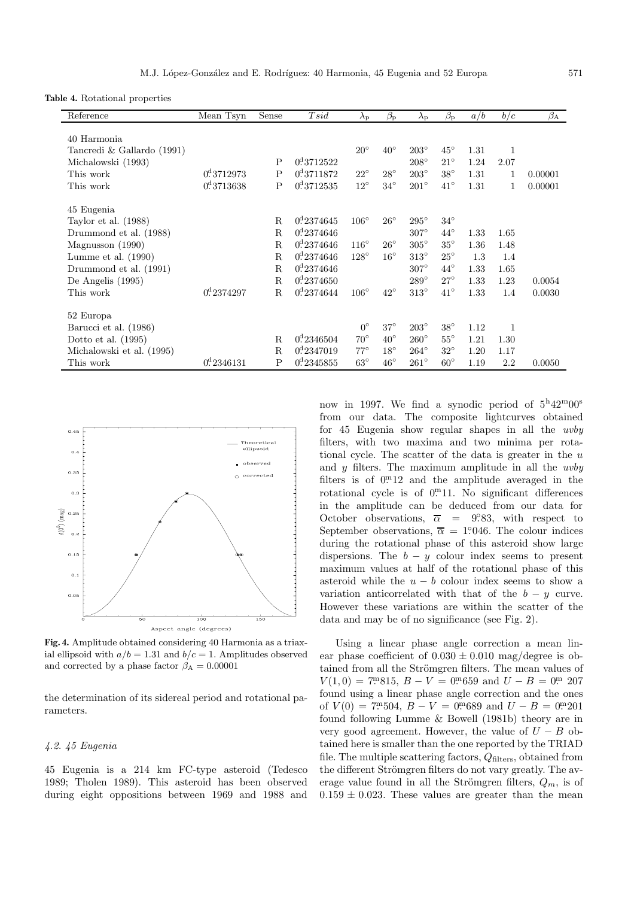**Table 4.** Rotational properties

| Reference                  | Mean Tsyn              | Sense       | Tsid                   | $\lambda_{\rm p}$ | $\beta_{\rm p}$ | $\lambda_{\rm p}$ | $\beta_{\rm p}$ | a/b  | b/c  | $\beta_{\rm A}$ |
|----------------------------|------------------------|-------------|------------------------|-------------------|-----------------|-------------------|-----------------|------|------|-----------------|
|                            |                        |             |                        |                   |                 |                   |                 |      |      |                 |
| 40 Harmonia                |                        |             |                        | $20^{\circ}$      | $40^{\circ}$    | $203^\circ$       | $45^{\circ}$    | 1.31 | 1    |                 |
| Tancredi & Gallardo (1991) |                        | P           | $0^4$ 3712522          |                   |                 | $208^\circ$       | $21^{\circ}$    | 1.24 | 2.07 |                 |
| Michalowski (1993)         | $0^d$ 3712973          |             | 0 <sup>d</sup> 3711872 |                   | $28^{\circ}$    |                   |                 |      |      |                 |
| This work                  |                        | Ρ           |                        | $22^{\circ}$      |                 | $203^\circ$       | $38^{\circ}$    | 1.31 |      | 0.00001         |
| This work                  | 0 <sup>d</sup> 3713638 | ${\bf P}$   | 0 <sup>d</sup> 3712535 | $12^{\circ}$      | $34^{\circ}$    | $201^\circ$       | $41^{\circ}$    | 1.31 | 1    | 0.00001         |
| 45 Eugenia                 |                        |             |                        |                   |                 |                   |                 |      |      |                 |
| Taylor et al. $(1988)$     |                        | $\mathbf R$ | $0^4, 2374645$         | $106^\circ$       | $26^{\circ}$    | $295^\circ$       | $34^\circ$      |      |      |                 |
| Drummond et al. (1988)     |                        | $\mathbf R$ | 0 <sup>d</sup> 2374646 |                   |                 | $307^\circ$       | $44^{\circ}$    | 1.33 | 1.65 |                 |
| Magnusson (1990)           |                        | $\mathbf R$ | 0 <sup>d</sup> 2374646 | $116^\circ$       | $26^{\circ}$    | $305^\circ$       | $35^{\circ}$    | 1.36 | 1.48 |                 |
| Lumme et al. $(1990)$      |                        | ${\bf R}$   | 0 <sup>d</sup> 2374646 | $128^\circ$       | $16^{\circ}$    | $313^\circ$       | $25^{\circ}$    | 1.3  | 1.4  |                 |
| Drummond et al. (1991)     |                        | $\mathbf R$ | $0^4$ 2374646          |                   |                 | $307^\circ$       | $44^{\circ}$    | 1.33 | 1.65 |                 |
| De Angelis (1995)          |                        | R           | 0 <sup>d</sup> 2374650 |                   |                 | $289^\circ$       | $27^{\circ}$    | 1.33 | 1.23 | 0.0054          |
| This work                  | 0 <sup>d</sup> 2374297 | $\mathbf R$ | $0^4$ 2374644          | $106^\circ$       | $42^{\circ}$    | $313^\circ$       | $41^{\circ}$    | 1.33 | 1.4  | 0.0030          |
| 52 Europa                  |                        |             |                        |                   |                 |                   |                 |      |      |                 |
| Barucci et al. (1986)      |                        |             |                        | $0^{\circ}$       | $37^\circ$      | $203^\circ$       | $38^\circ$      | 1.12 | 1    |                 |
| Dotto et al. $(1995)$      |                        | $\mathbf R$ | 0 <sup>d</sup> 2346504 | $70^{\circ}$      | $40^{\circ}$    | $260^\circ$       | $55^{\circ}$    | 1.21 | 1.30 |                 |
| Michalowski et al. (1995)  |                        | $\mathbf R$ | 0 <sup>d</sup> 2347019 | $77^\circ$        | $18^{\circ}$    | $264^{\circ}$     | $32^{\circ}$    | 1.20 | 1.17 |                 |
| This work                  | 0 <sup>d</sup> 2346131 | $\mathbf P$ | 0 <sup>d</sup> 2345855 | $63^{\circ}$      | $46^{\circ}$    | $261^\circ$       | $60^{\circ}$    | 1.19 | 2.2  | 0.0050          |



**Fig. 4.** Amplitude obtained considering 40 Harmonia as a triaxial ellipsoid with  $a/b = 1.31$  and  $b/c = 1$ . Amplitudes observed and corrected by a phase factor  $\beta_A = 0.00001$ 

the determination of its sidereal period and rotational parameters.

# 4.2. 45 Eugenia

45 Eugenia is a 214 km FC-type asteroid (Tedesco 1989; Tholen 1989). This asteroid has been observed during eight oppositions between 1969 and 1988 and now in 1997. We find a synodic period of  $5^{\rm h}42^{\rm m}00^{\rm s}$ from our data. The composite lightcurves obtained for 45 Eugenia show regular shapes in all the uvby filters, with two maxima and two minima per rotational cycle. The scatter of the data is greater in the  $u$ and  $y$  filters. The maximum amplitude in all the  $uvby$ filters is of  $0<sup>m</sup>12$  and the amplitude averaged in the rotational cycle is of  $0<sup>m</sup>11$ . No significant differences in the amplitude can be deduced from our data for October observations,  $\overline{\alpha}$  = 9.83, with respect to September observations,  $\bar{\alpha} = 1.046$ . The colour indices during the rotational phase of this asteroid show large dispersions. The  $b - y$  colour index seems to present maximum values at half of the rotational phase of this asteroid while the  $u - b$  colour index seems to show a variation anticorrelated with that of the  $b - y$  curve. However these variations are within the scatter of the data and may be of no significance (see Fig. 2).

Using a linear phase angle correction a mean linear phase coefficient of  $0.030 \pm 0.010$  mag/degree is obtained from all the Strömgren filters. The mean values of  $V(1,0) = 7^{\text{m}}815, B - V = 0^{\text{m}}659 \text{ and } U - B = 0^{\text{m}} 207$ found using a linear phase angle correction and the ones of  $V(0) = 7^{m}504$ ,  $B - V = 0^{m}689$  and  $U - B = 0^{m}201$ found following Lumme & Bowell (1981b) theory are in very good agreement. However, the value of  $U - B$  obtained here is smaller than the one reported by the TRIAD file. The multiple scattering factors,  $Q_{\text{filters}}$ , obtained from the different Strömgren filters do not vary greatly. The average value found in all the Strömgren filters,  $Q_m$ , is of  $0.159 \pm 0.023$ . These values are greater than the mean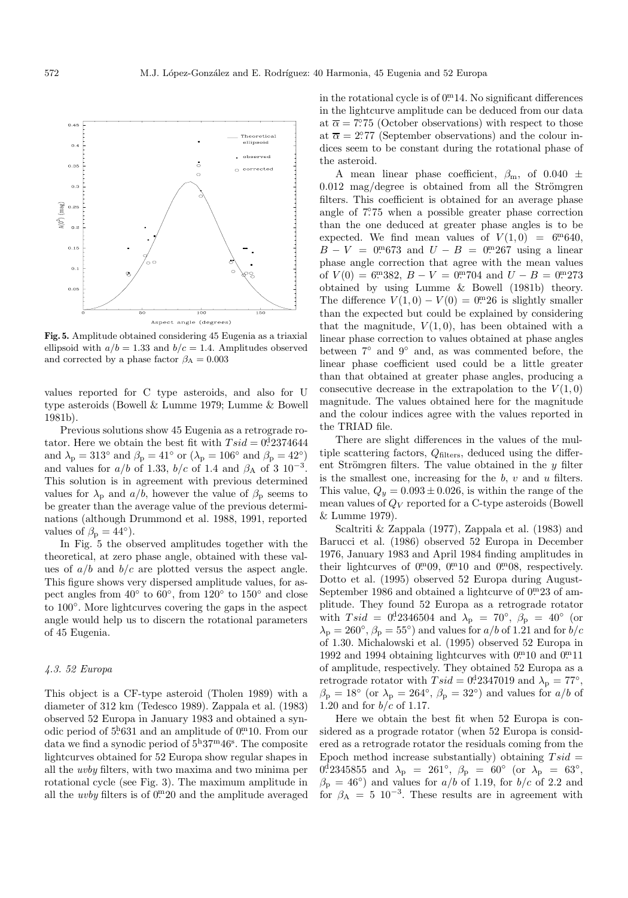

**Fig. 5.** Amplitude obtained considering 45 Eugenia as a triaxial ellipsoid with  $a/b = 1.33$  and  $b/c = 1.4$ . Amplitudes observed and corrected by a phase factor  $\beta_{\rm A}=0.003$ 

values reported for C type asteroids, and also for U type asteroids (Bowell & Lumme 1979; Lumme & Bowell 1981b).

Previous solutions show 45 Eugenia as a retrograde rotator. Here we obtain the best fit with  $Tsid = 0.2374644$ and  $\lambda_p = 313^\circ$  and  $\beta_p = 41^\circ$  or  $(\lambda_p = 106^\circ$  and  $\beta_p = 42^\circ)$ and values for  $a/b$  of 1.33,  $b/c$  of 1.4 and  $\beta_A$  of 3 10<sup>-3</sup>. This solution is in agreement with previous determined values for  $\lambda_p$  and  $a/b$ , however the value of  $\beta_p$  seems to be greater than the average value of the previous determinations (although Drummond et al. 1988, 1991, reported values of  $\beta_{\rm p} = 44^{\circ}$ ).

In Fig. 5 the observed amplitudes together with the theoretical, at zero phase angle, obtained with these values of  $a/b$  and  $b/c$  are plotted versus the aspect angle. This figure shows very dispersed amplitude values, for aspect angles from  $40°$  to  $60°$ , from  $120°$  to  $150°$  and close to 100◦. More lightcurves covering the gaps in the aspect angle would help us to discern the rotational parameters of 45 Eugenia.

#### 4.3. 52 Europa

This object is a CF-type asteroid (Tholen 1989) with a diameter of 312 km (Tedesco 1989). Zappala et al. (1983) observed 52 Europa in January 1983 and obtained a synodic period of  $5^{h}631$  and an amplitude of  $0^{m}10$ . From our data we find a synodic period of  $5^{\text{h}}37^{\text{m}}46^{\text{s}}$ . The composite lightcurves obtained for 52 Europa show regular shapes in all the uvby filters, with two maxima and two minima per rotational cycle (see Fig. 3). The maximum amplitude in all the *uvby* filters is of  $0<sup>m</sup>20$  and the amplitude averaged

in the rotational cycle is of  $0<sup>m</sup>14$ . No significant differences in the lightcurve amplitude can be deduced from our data at  $\bar{\alpha} = 7.75$  (October observations) with respect to those at  $\bar{\alpha} = 2.277$  (September observations) and the colour indices seem to be constant during the rotational phase of the asteroid.

A mean linear phase coefficient,  $\beta_{\rm m}$ , of 0.040  $\pm$  $0.012$  mag/degree is obtained from all the Strömgren filters. This coefficient is obtained for an average phase angle of 7. ◦75 when a possible greater phase correction than the one deduced at greater phase angles is to be expected. We find mean values of  $V(1,0) = 6.640$ , B − V = 0. <sup>m</sup>673 and <sup>U</sup> <sup>−</sup> <sup>B</sup> = 0. <sup>m</sup>267 using a linear phase angle correction that agree with the mean values of  $V(0) = 6^{m}382$ ,  $B - V = 0^{m}704$  and  $U - B = 0^{m}273$ obtained by using Lumme & Bowell (1981b) theory. The difference  $V(1,0) - V(0) = 0$ . 26 is slightly smaller than the expected but could be explained by considering that the magnitude,  $V(1,0)$ , has been obtained with a linear phase correction to values obtained at phase angles between 7◦ and 9◦ and, as was commented before, the linear phase coefficient used could be a little greater than that obtained at greater phase angles, producing a consecutive decrease in the extrapolation to the  $V(1,0)$ magnitude. The values obtained here for the magnitude and the colour indices agree with the values reported in the TRIAD file.

There are slight differences in the values of the multiple scattering factors,  $Q_{\text{filters}}$ , deduced using the different Strömgren filters. The value obtained in the  $y$  filter is the smallest one, increasing for the  $b, v$  and  $u$  filters. This value,  $Q_y = 0.093 \pm 0.026$ , is within the range of the mean values of  $Q_V$  reported for a C-type asteroids (Bowell & Lumme 1979).

Scaltriti & Zappala (1977), Zappala et al. (1983) and Barucci et al. (1986) observed 52 Europa in December 1976, January 1983 and April 1984 finding amplitudes in their lightcurves of  $0.^{m}09, 0.^{m}10$  and  $0.^{m}08$ , respectively. Dotto et al. (1995) observed 52 Europa during August-September 1986 and obtained a lightcurve of  $0<sup>m</sup>23$  of amplitude. They found 52 Europa as a retrograde rotator with  $Tsid = 0.012346504$  and  $\lambda_{\rm p} = 70^{\circ}$ ,  $\beta_{\rm p} = 40^{\circ}$  (or  $\lambda_{\rm p} = 260^{\circ}$ ,  $\beta_{\rm p} = 55^{\circ}$  and values for  $a/b$  of 1.21 and for  $b/c$ of 1.30. Michalowski et al. (1995) observed 52 Europa in 1992 and 1994 obtaining lightcurves with  $0^{m}$ 10 and  $0^{m}$ 11 of amplitude, respectively. They obtained 52 Europa as a retrograde rotator with  $Tsid = 0.2347019$  and  $\lambda_{\rm p} = 77^{\circ}$ ,  $\beta_{\rm p} = 18^{\circ}$  (or  $\lambda_{\rm p} = 264^{\circ}$ ,  $\beta_{\rm p} = 32^{\circ}$ ) and values for  $a/b$  of 1.20 and for  $b/c$  of 1.17.

Here we obtain the best fit when 52 Europa is considered as a prograde rotator (when 52 Europa is considered as a retrograde rotator the residuals coming from the Epoch method increase substantially) obtaining  $Tsid =$ 0.42345855 and  $\lambda_{\rm p}$  = 261°,  $\beta_{\rm p}$  = 60° (or  $\lambda_{\rm p}$  = 63°,  $\beta_{\rm p} = 46^{\circ}$ ) and values for  $a/b$  of 1.19, for  $b/c$  of 2.2 and for  $\beta_A = 5 \, 10^{-3}$ . These results are in agreement with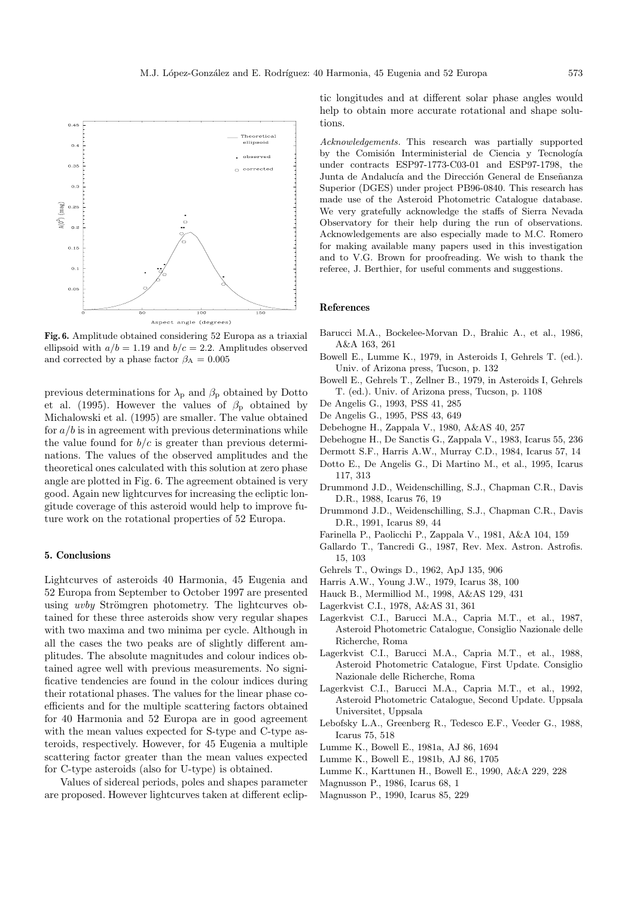

**Fig. 6.** Amplitude obtained considering 52 Europa as a triaxial ellipsoid with  $a/b = 1.19$  and  $b/c = 2.2$ . Amplitudes observed and corrected by a phase factor  $\beta_A = 0.005$ 

previous determinations for  $\lambda_p$  and  $\beta_p$  obtained by Dotto et al. (1995). However the values of  $\beta_{\rm p}$  obtained by Michalowski et al. (1995) are smaller. The value obtained for  $a/b$  is in agreement with previous determinations while the value found for  $b/c$  is greater than previous determinations. The values of the observed amplitudes and the theoretical ones calculated with this solution at zero phase angle are plotted in Fig. 6. The agreement obtained is very good. Again new lightcurves for increasing the ecliptic longitude coverage of this asteroid would help to improve future work on the rotational properties of 52 Europa.

# **5. Conclusions**

Lightcurves of asteroids 40 Harmonia, 45 Eugenia and 52 Europa from September to October 1997 are presented using *uvby* Strömgren photometry. The lightcurves obtained for these three asteroids show very regular shapes with two maxima and two minima per cycle. Although in all the cases the two peaks are of slightly different amplitudes. The absolute magnitudes and colour indices obtained agree well with previous measurements. No significative tendencies are found in the colour indices during their rotational phases. The values for the linear phase coefficients and for the multiple scattering factors obtained for 40 Harmonia and 52 Europa are in good agreement with the mean values expected for S-type and C-type asteroids, respectively. However, for 45 Eugenia a multiple scattering factor greater than the mean values expected for C-type asteroids (also for U-type) is obtained.

Values of sidereal periods, poles and shapes parameter are proposed. However lightcurves taken at different ecliptic longitudes and at different solar phase angles would help to obtain more accurate rotational and shape solutions.

Acknowledgements. This research was partially supported by the Comisión Interministerial de Ciencia y Tecnología under contracts ESP97-1773-C03-01 and ESP97-1798, the Junta de Andalucía and the Dirección General de Enseñanza Superior (DGES) under project PB96-0840. This research has made use of the Asteroid Photometric Catalogue database. We very gratefully acknowledge the staffs of Sierra Nevada Observatory for their help during the run of observations. Acknowledgements are also especially made to M.C. Romero for making available many papers used in this investigation and to V.G. Brown for proofreading. We wish to thank the referee, J. Berthier, for useful comments and suggestions.

# **References**

- Barucci M.A., Bockelee-Morvan D., Brahic A., et al., 1986, A&A 163, 261
- Bowell E., Lumme K., 1979, in Asteroids I, Gehrels T. (ed.). Univ. of Arizona press, Tucson, p. 132
- Bowell E., Gehrels T., Zellner B., 1979, in Asteroids I, Gehrels T. (ed.). Univ. of Arizona press, Tucson, p. 1108
- De Angelis G., 1993, PSS 41, 285
- De Angelis G., 1995, PSS 43, 649
- Debehogne H., Zappala V., 1980, A&AS 40, 257
- Debehogne H., De Sanctis G., Zappala V., 1983, Icarus 55, 236
- Dermott S.F., Harris A.W., Murray C.D., 1984, Icarus 57, 14
- Dotto E., De Angelis G., Di Martino M., et al., 1995, Icarus 117, 313
- Drummond J.D., Weidenschilling, S.J., Chapman C.R., Davis D.R., 1988, Icarus 76, 19
- Drummond J.D., Weidenschilling, S.J., Chapman C.R., Davis D.R., 1991, Icarus 89, 44
- Farinella P., Paolicchi P., Zappala V., 1981, A&A 104, 159
- Gallardo T., Tancredi G., 1987, Rev. Mex. Astron. Astrofis. 15, 103
- Gehrels T., Owings D., 1962, ApJ 135, 906
- Harris A.W., Young J.W., 1979, Icarus 38, 100
- Hauck B., Mermilliod M., 1998, A&AS 129, 431
- Lagerkvist C.I., 1978, A&AS 31, 361
- Lagerkvist C.I., Barucci M.A., Capria M.T., et al., 1987, Asteroid Photometric Catalogue, Consiglio Nazionale delle Richerche, Roma
- Lagerkvist C.I., Barucci M.A., Capria M.T., et al., 1988, Asteroid Photometric Catalogue, First Update. Consiglio Nazionale delle Richerche, Roma
- Lagerkvist C.I., Barucci M.A., Capria M.T., et al., 1992, Asteroid Photometric Catalogue, Second Update. Uppsala Universitet, Uppsala
- Lebofsky L.A., Greenberg R., Tedesco E.F., Veeder G., 1988, Icarus 75, 518
- Lumme K., Bowell E., 1981a, AJ 86, 1694
- Lumme K., Bowell E., 1981b, AJ 86, 1705
- Lumme K., Karttunen H., Bowell E., 1990, A&A 229, 228
- Magnusson P., 1986, Icarus 68, 1
- Magnusson P., 1990, Icarus 85, 229